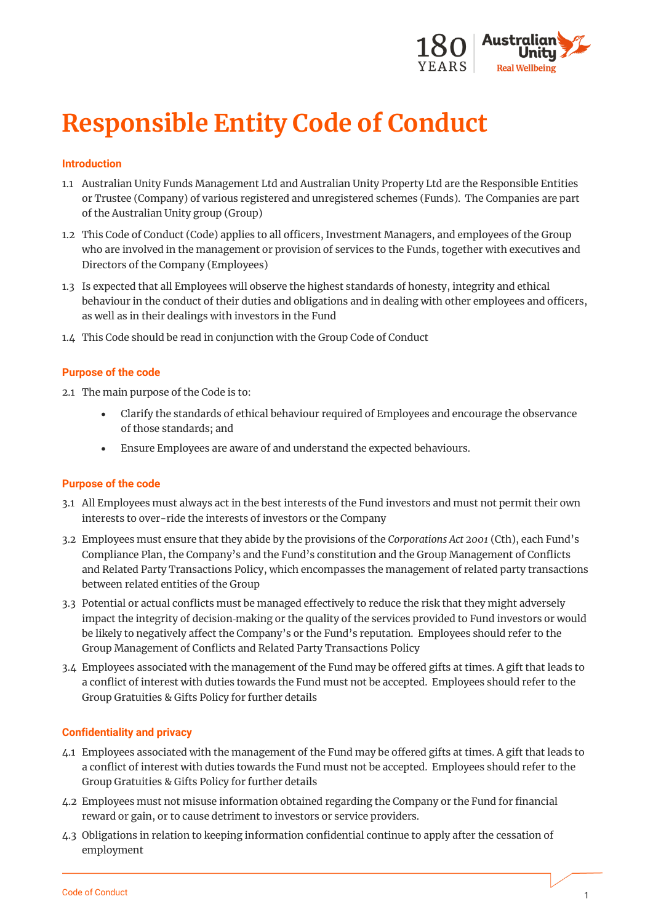

# **Responsible Entity Code of Conduct**

## **Introduction**

- 1.1 Australian Unity Funds Management Ltd and Australian Unity Property Ltd are the Responsible Entities or Trustee (Company) of various registered and unregistered schemes (Funds). The Companies are part of the Australian Unity group (Group)
- 1.2 This Code of Conduct (Code) applies to all officers, Investment Managers, and employees of the Group who are involved in the management or provision of services to the Funds, together with executives and Directors of the Company (Employees)
- 1.3 Is expected that all Employees will observe the highest standards of honesty, integrity and ethical behaviour in the conduct of their duties and obligations and in dealing with other employees and officers, as well as in their dealings with investors in the Fund
- 1.4 This Code should be read in conjunction with the Group Code of Conduct

## **Purpose of the code**

- 2.1 The main purpose of the Code is to:
	- Clarify the standards of ethical behaviour required of Employees and encourage the observance of those standards; and
	- Ensure Employees are aware of and understand the expected behaviours.

## **Purpose of the code**

- 3.1 All Employees must always act in the best interests of the Fund investors and must not permit their own interests to over-ride the interests of investors or the Company
- 3.2 Employees must ensure that they abide by the provisions of the *Corporations Act 2001* (Cth), each Fund's Compliance Plan, the Company's and the Fund's constitution and the Group Management of Conflicts and Related Party Transactions Policy, which encompasses the management of related party transactions between related entities of the Group
- 3.3 Potential or actual conflicts must be managed effectively to reduce the risk that they might adversely impact the integrity of decision-making or the quality of the services provided to Fund investors or would be likely to negatively affect the Company's or the Fund's reputation. Employees should refer to the Group Management of Conflicts and Related Party Transactions Policy
- 3.4 Employees associated with the management of the Fund may be offered gifts at times. A gift that leads to a conflict of interest with duties towards the Fund must not be accepted. Employees should refer to the Group Gratuities & Gifts Policy for further details

## **Confidentiality and privacy**

- 4.1 Employees associated with the management of the Fund may be offered gifts at times. A gift that leads to a conflict of interest with duties towards the Fund must not be accepted. Employees should refer to the Group Gratuities & Gifts Policy for further details
- 4.2 Employees must not misuse information obtained regarding the Company or the Fund for financial reward or gain, or to cause detriment to investors or service providers.
- 4.3 Obligations in relation to keeping information confidential continue to apply after the cessation of employment